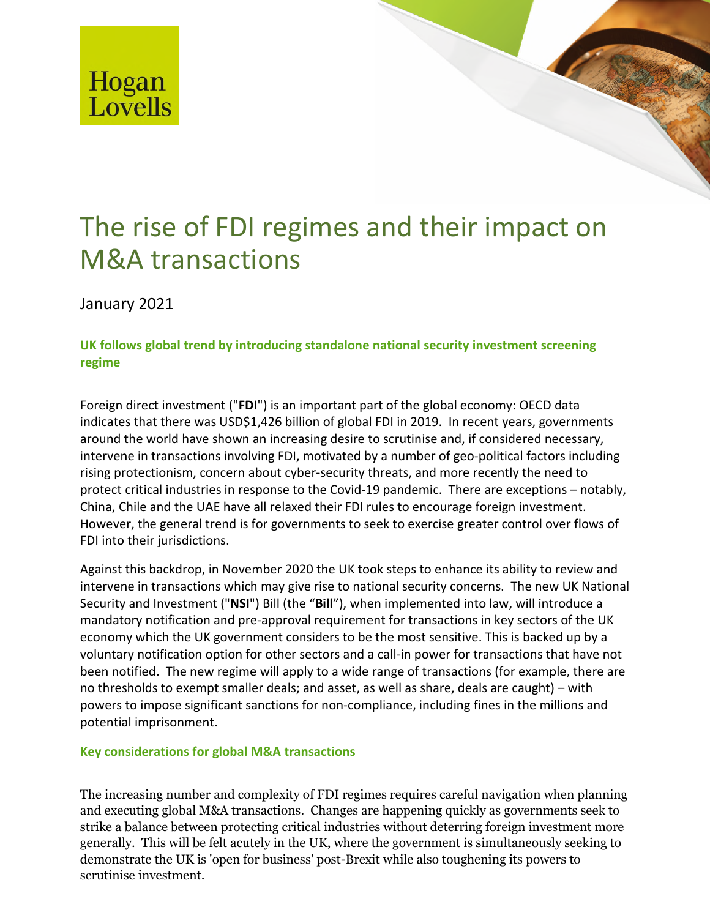

# The rise of FDI regimes and their impact on M&A transactions

The rise of  $F$  rise of  $F$  rise of  $\mathcal{F}$  rise of  $\mathcal{F}$  transactions and their impact on  $\mathcal{F}$ 

January 2021

## **UK follows global trend by introducing standalone national security investment screening regime**

Foreign direct investment ("**FDI**") is an important part of the global economy: OECD data indicates that there was USD\$1,426 billion of global FDI in 2019. In recent years, governments around the world have shown an increasing desire to scrutinise and, if considered necessary, intervene in transactions involving FDI, motivated by a number of geo-political factors including rising protectionism, concern about cyber-security threats, and more recently the need to protect critical industries in response to the Covid-19 pandemic. There are exceptions – notably, China, Chile and the UAE have all relaxed their FDI rules to encourage foreign investment. However, the general trend is for governments to seek to exercise greater control over flows of FDI into their jurisdictions.

Against this backdrop, in November 2020 the UK took steps to enhance its ability to review and intervene in transactions which may give rise to national security concerns. The new UK National Security and Investment ("**NSI**") Bill (the "**Bill**"), when implemented into law, will introduce a mandatory notification and pre-approval requirement for transactions in key sectors of the UK economy which the UK government considers to be the most sensitive. This is backed up by a voluntary notification option for other sectors and a call-in power for transactions that have not been notified. The new regime will apply to a wide range of transactions (for example, there are no thresholds to exempt smaller deals; and asset, as well as share, deals are caught) – with powers to impose significant sanctions for non-compliance, including fines in the millions and potential imprisonment.

### **Key considerations for global M&A transactions**

The increasing number and complexity of FDI regimes requires careful navigation when planning and executing global M&A transactions. Changes are happening quickly as governments seek to strike a balance between protecting critical industries without deterring foreign investment more generally. This will be felt acutely in the UK, where the government is simultaneously seeking to demonstrate the UK is 'open for business' post-Brexit while also toughening its powers to scrutinise investment.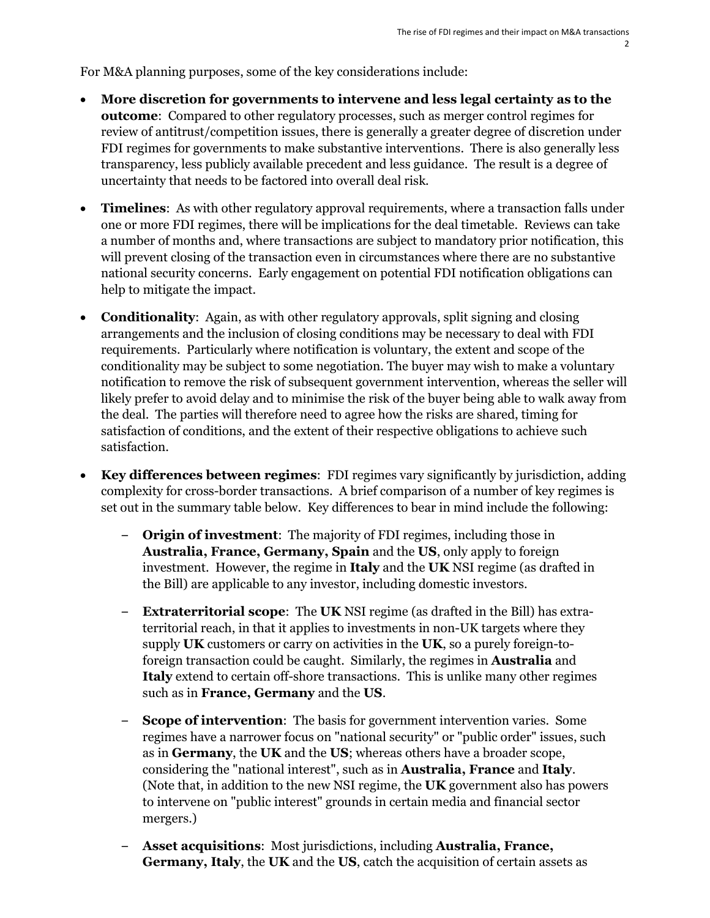For M&A planning purposes, some of the key considerations include:

- **More discretion for governments to intervene and less legal certainty as to the outcome**: Compared to other regulatory processes, such as merger control regimes for review of antitrust/competition issues, there is generally a greater degree of discretion under FDI regimes for governments to make substantive interventions. There is also generally less transparency, less publicly available precedent and less guidance. The result is a degree of uncertainty that needs to be factored into overall deal risk.
- **Timelines**: As with other regulatory approval requirements, where a transaction falls under one or more FDI regimes, there will be implications for the deal timetable. Reviews can take a number of months and, where transactions are subject to mandatory prior notification, this will prevent closing of the transaction even in circumstances where there are no substantive national security concerns. Early engagement on potential FDI notification obligations can help to mitigate the impact.
- **Conditionality**: Again, as with other regulatory approvals, split signing and closing arrangements and the inclusion of closing conditions may be necessary to deal with FDI requirements. Particularly where notification is voluntary, the extent and scope of the conditionality may be subject to some negotiation. The buyer may wish to make a voluntary notification to remove the risk of subsequent government intervention, whereas the seller will likely prefer to avoid delay and to minimise the risk of the buyer being able to walk away from the deal. The parties will therefore need to agree how the risks are shared, timing for satisfaction of conditions, and the extent of their respective obligations to achieve such satisfaction.
- **Key differences between regimes**: FDI regimes vary significantly by jurisdiction, adding complexity for cross-border transactions. A brief comparison of a number of key regimes is set out in the summary table below. Key differences to bear in mind include the following:
	- **Origin of investment**: The majority of FDI regimes, including those in **Australia, France, Germany, Spain** and the **US**, only apply to foreign investment. However, the regime in **Italy** and the **UK** NSI regime (as drafted in the Bill) are applicable to any investor, including domestic investors.
	- **Extraterritorial scope**: The **UK** NSI regime (as drafted in the Bill) has extraterritorial reach, in that it applies to investments in non-UK targets where they supply **UK** customers or carry on activities in the **UK**, so a purely foreign-toforeign transaction could be caught. Similarly, the regimes in **Australia** and **Italy** extend to certain off-shore transactions. This is unlike many other regimes such as in **France, Germany** and the **US**.
	- **Scope of intervention**: The basis for government intervention varies. Some regimes have a narrower focus on "national security" or "public order" issues, such as in **Germany**, the **UK** and the **US**; whereas others have a broader scope, considering the "national interest", such as in **Australia, France** and **Italy**. (Note that, in addition to the new NSI regime, the **UK** government also has powers to intervene on "public interest" grounds in certain media and financial sector mergers.)
	- **Asset acquisitions**: Most jurisdictions, including **Australia, France, Germany, Italy**, the **UK** and the **US**, catch the acquisition of certain assets as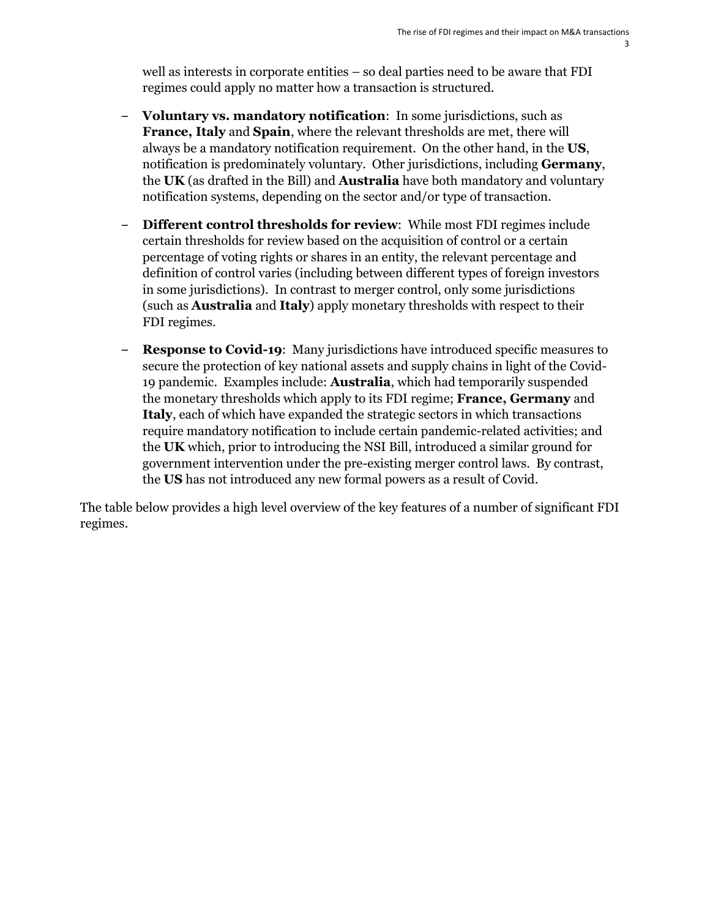well as interests in corporate entities – so deal parties need to be aware that FDI regimes could apply no matter how a transaction is structured.

- **Voluntary vs. mandatory notification**: In some jurisdictions, such as **France, Italy** and **Spain**, where the relevant thresholds are met, there will always be a mandatory notification requirement. On the other hand, in the **US**, notification is predominately voluntary. Other jurisdictions, including **Germany**, the **UK** (as drafted in the Bill) and **Australia** have both mandatory and voluntary notification systems, depending on the sector and/or type of transaction.
- **Different control thresholds for review**: While most FDI regimes include certain thresholds for review based on the acquisition of control or a certain percentage of voting rights or shares in an entity, the relevant percentage and definition of control varies (including between different types of foreign investors in some jurisdictions). In contrast to merger control, only some jurisdictions (such as **Australia** and **Italy**) apply monetary thresholds with respect to their FDI regimes.
- **Response to Covid-19**: Many jurisdictions have introduced specific measures to secure the protection of key national assets and supply chains in light of the Covid-19 pandemic. Examples include: **Australia**, which had temporarily suspended the monetary thresholds which apply to its FDI regime; **France, Germany** and **Italy**, each of which have expanded the strategic sectors in which transactions require mandatory notification to include certain pandemic-related activities; and the **UK** which, prior to introducing the NSI Bill, introduced a similar ground for government intervention under the pre-existing merger control laws. By contrast, the **US** has not introduced any new formal powers as a result of Covid.

The table below provides a high level overview of the key features of a number of significant FDI regimes.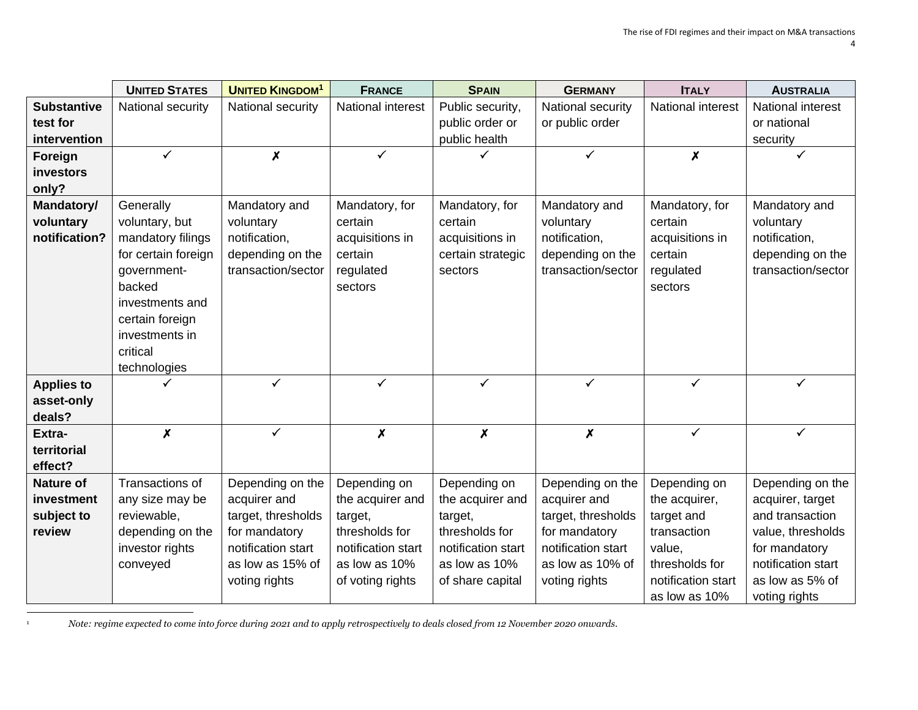|                    | <b>UNITED STATES</b> | <b>UNITED KINGDOM<sup>1</sup></b> | <b>FRANCE</b>             | <b>SPAIN</b>              | <b>GERMANY</b>            | <b>ITALY</b>       | <b>AUSTRALIA</b>   |
|--------------------|----------------------|-----------------------------------|---------------------------|---------------------------|---------------------------|--------------------|--------------------|
| <b>Substantive</b> | National security    | National security                 | National interest         | Public security,          | National security         | National interest  | National interest  |
| test for           |                      |                                   |                           | public order or           | or public order           |                    | or national        |
| intervention       |                      |                                   |                           | public health             |                           |                    | security           |
| Foreign            | $\checkmark$         | $\boldsymbol{x}$                  | $\checkmark$              |                           | $\checkmark$              | $\boldsymbol{x}$   | $\checkmark$       |
| <b>investors</b>   |                      |                                   |                           |                           |                           |                    |                    |
| only?              |                      |                                   |                           |                           |                           |                    |                    |
| Mandatory/         | Generally            | Mandatory and                     | Mandatory, for            | Mandatory, for            | Mandatory and             | Mandatory, for     | Mandatory and      |
| voluntary          | voluntary, but       | voluntary                         | certain                   | certain                   | voluntary                 | certain            | voluntary          |
| notification?      | mandatory filings    | notification,                     | acquisitions in           | acquisitions in           | notification,             | acquisitions in    | notification,      |
|                    | for certain foreign  | depending on the                  | certain                   | certain strategic         | depending on the          | certain            | depending on the   |
|                    | government-          | transaction/sector                | regulated                 | sectors                   | transaction/sector        | regulated          | transaction/sector |
|                    | backed               |                                   | sectors                   |                           |                           | sectors            |                    |
|                    | investments and      |                                   |                           |                           |                           |                    |                    |
|                    | certain foreign      |                                   |                           |                           |                           |                    |                    |
|                    | investments in       |                                   |                           |                           |                           |                    |                    |
|                    | critical             |                                   |                           |                           |                           |                    |                    |
|                    | technologies         |                                   |                           |                           |                           |                    |                    |
| <b>Applies to</b>  |                      | $\checkmark$                      | ✓                         | ✓                         | ✓                         | ✓                  | $\checkmark$       |
| asset-only         |                      |                                   |                           |                           |                           |                    |                    |
| deals?             |                      |                                   |                           |                           |                           |                    |                    |
| Extra-             | $\boldsymbol{x}$     | $\checkmark$                      | $\boldsymbol{\mathsf{x}}$ | $\boldsymbol{\mathsf{x}}$ | $\boldsymbol{\mathsf{x}}$ | $\checkmark$       | $\checkmark$       |
| territorial        |                      |                                   |                           |                           |                           |                    |                    |
| effect?            |                      |                                   |                           |                           |                           |                    |                    |
| <b>Nature of</b>   | Transactions of      | Depending on the                  | Depending on              | Depending on              | Depending on the          | Depending on       | Depending on the   |
| investment         | any size may be      | acquirer and                      | the acquirer and          | the acquirer and          | acquirer and              | the acquirer,      | acquirer, target   |
| subject to         | reviewable,          | target, thresholds                | target,                   | target,                   | target, thresholds        | target and         | and transaction    |
| review             | depending on the     | for mandatory                     | thresholds for            | thresholds for            | for mandatory             | transaction        | value, thresholds  |
|                    | investor rights      | notification start                | notification start        | notification start        | notification start        | value,             | for mandatory      |
|                    | conveyed             | as low as 15% of                  | as low as 10%             | as low as 10%             | as low as 10% of          | thresholds for     | notification start |
|                    |                      | voting rights                     | of voting rights          | of share capital          | voting rights             | notification start | as low as 5% of    |
|                    |                      |                                   |                           |                           |                           | as low as 10%      | voting rights      |

<sup>1</sup> *Note: regime expected to come into force during 2021 and to apply retrospectively to deals closed from 12 November 2020 onwards.*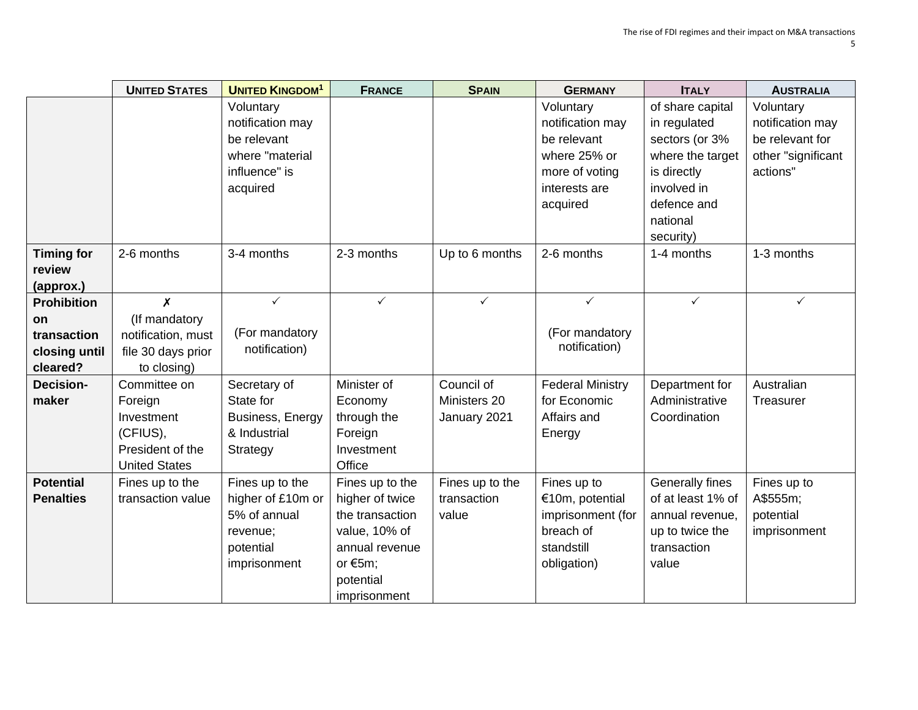|                                                                      | <b>UNITED STATES</b>                                                                          | <b>UNITED KINGDOM<sup>1</sup></b>                                                             | <b>FRANCE</b>                                                                                                                       | <b>SPAIN</b>                               | <b>GERMANY</b>                                                                                | <b>ITALY</b>                                                                                       | <b>AUSTRALIA</b>                                     |
|----------------------------------------------------------------------|-----------------------------------------------------------------------------------------------|-----------------------------------------------------------------------------------------------|-------------------------------------------------------------------------------------------------------------------------------------|--------------------------------------------|-----------------------------------------------------------------------------------------------|----------------------------------------------------------------------------------------------------|------------------------------------------------------|
|                                                                      |                                                                                               | Voluntary<br>notification may<br>be relevant                                                  |                                                                                                                                     |                                            | Voluntary<br>notification may<br>be relevant                                                  | of share capital<br>in regulated<br>sectors (or 3%                                                 | Voluntary<br>notification may<br>be relevant for     |
|                                                                      |                                                                                               | where "material<br>influence" is<br>acquired                                                  |                                                                                                                                     |                                            | where 25% or<br>more of voting<br>interests are<br>acquired                                   | where the target<br>is directly<br>involved in<br>defence and<br>national<br>security)             | other "significant<br>actions"                       |
| <b>Timing for</b><br>review<br>(approx.)                             | 2-6 months                                                                                    | 3-4 months                                                                                    | 2-3 months                                                                                                                          | Up to 6 months                             | 2-6 months                                                                                    | 1-4 months                                                                                         | 1-3 months                                           |
| <b>Prohibition</b><br>on<br>transaction<br>closing until<br>cleared? | $\boldsymbol{x}$<br>(If mandatory<br>notification, must<br>file 30 days prior<br>to closing)  | $\checkmark$<br>(For mandatory<br>notification)                                               | $\checkmark$                                                                                                                        | $\checkmark$                               | $\checkmark$<br>(For mandatory<br>notification)                                               | $\checkmark$                                                                                       | $\checkmark$                                         |
| <b>Decision-</b><br>maker                                            | Committee on<br>Foreign<br>Investment<br>(CFIUS),<br>President of the<br><b>United States</b> | Secretary of<br>State for<br>Business, Energy<br>& Industrial<br>Strategy                     | Minister of<br>Economy<br>through the<br>Foreign<br>Investment<br>Office                                                            | Council of<br>Ministers 20<br>January 2021 | <b>Federal Ministry</b><br>for Economic<br>Affairs and<br>Energy                              | Department for<br>Administrative<br>Coordination                                                   | Australian<br>Treasurer                              |
| <b>Potential</b><br><b>Penalties</b>                                 | Fines up to the<br>transaction value                                                          | Fines up to the<br>higher of £10m or<br>5% of annual<br>revenue;<br>potential<br>imprisonment | Fines up to the<br>higher of twice<br>the transaction<br>value, 10% of<br>annual revenue<br>or $€5m$ ;<br>potential<br>imprisonment | Fines up to the<br>transaction<br>value    | Fines up to<br>€10m, potential<br>imprisonment (for<br>breach of<br>standstill<br>obligation) | Generally fines<br>of at least 1% of<br>annual revenue,<br>up to twice the<br>transaction<br>value | Fines up to<br>A\$555m;<br>potential<br>imprisonment |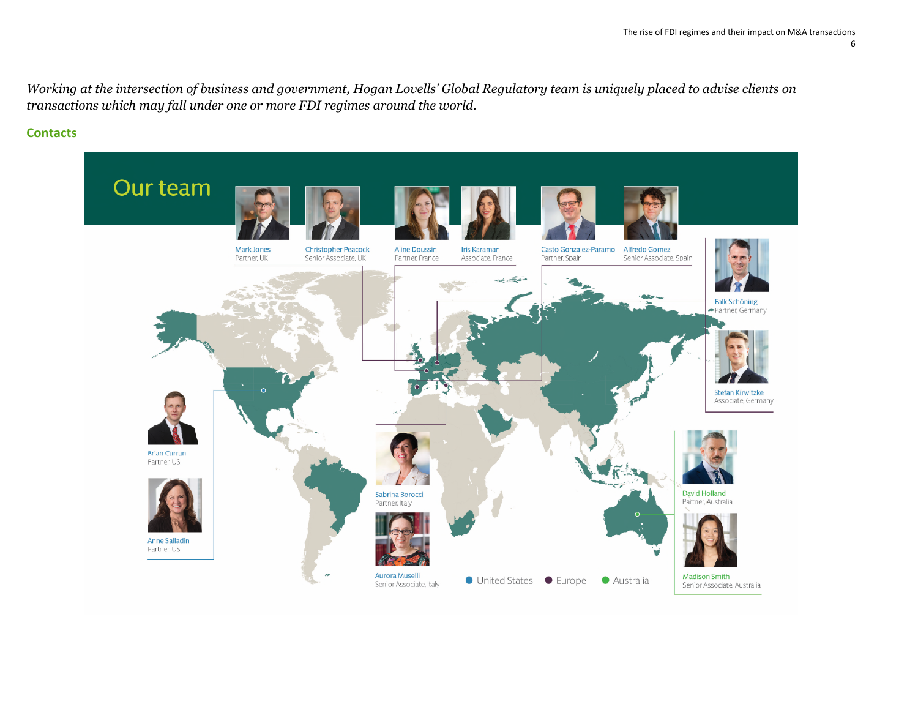*Working at the intersection of business and government, Hogan Lovells' Global Regulatory team is uniquely placed to advise clients on transactions which may fall under one or more FDI regimes around the world.* 

#### **Contacts**